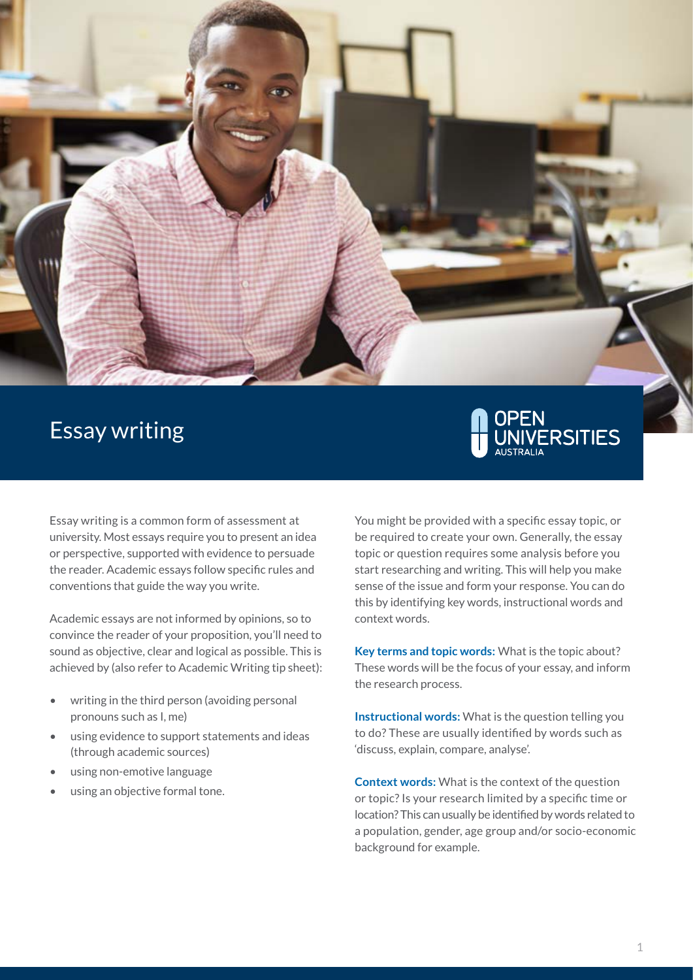

# Essay writing



Essay writing is a common form of assessment at university. Most essays require you to present an idea or perspective, supported with evidence to persuade the reader. Academic essays follow specific rules and conventions that guide the way you write.

Academic essays are not informed by opinions, so to convince the reader of your proposition, you'll need to sound as objective, clear and logical as possible. This is achieved by (also refer to Academic Writing tip sheet):

- writing in the third person (avoiding personal pronouns such as I, me)
- using evidence to support statements and ideas (through academic sources)
- using non-emotive language
- using an objective formal tone.

You might be provided with a specific essay topic, or be required to create your own. Generally, the essay topic or question requires some analysis before you start researching and writing. This will help you make sense of the issue and form your response. You can do this by identifying key words, instructional words and context words.

**Key terms and topic words:** What is the topic about? These words will be the focus of your essay, and inform the research process.

**Instructional words:** What is the question telling you to do? These are usually identified by words such as 'discuss, explain, compare, analyse'.

**Context words:** What is the context of the question or topic? Is your research limited by a specific time or location? This can usually be identified by words related to a population, gender, age group and/or socio-economic background for example.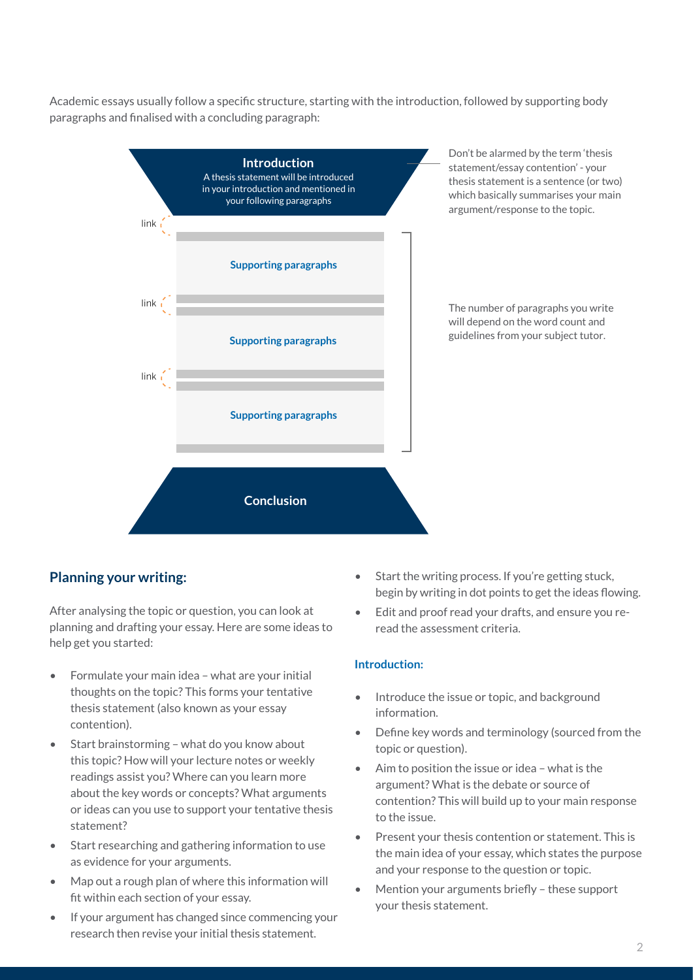Academic essays usually follow a specific structure, starting with the introduction, followed by supporting body paragraphs and finalised with a concluding paragraph:



## **Planning your writing:**

After analysing the topic or question, you can look at planning and drafting your essay. Here are some ideas to help get you started:

- Formulate your main idea what are your initial thoughts on the topic? This forms your tentative thesis statement (also known as your essay contention).
- Start brainstorming what do you know about this topic? How will your lecture notes or weekly readings assist you? Where can you learn more about the key words or concepts? What arguments or ideas can you use to support your tentative thesis statement?
- Start researching and gathering information to use as evidence for your arguments.
- Map out a rough plan of where this information will fit within each section of your essay.
- If your argument has changed since commencing your research then revise your initial thesis statement.
- Start the writing process. If you're getting stuck, begin by writing in dot points to get the ideas flowing.
- Edit and proof read your drafts, and ensure you reread the assessment criteria.

#### **Introduction:**

- Introduce the issue or topic, and background information.
- Define key words and terminology (sourced from the topic or question).
- Aim to position the issue or idea what is the argument? What is the debate or source of contention? This will build up to your main response to the issue.
- Present your thesis contention or statement. This is the main idea of your essay, which states the purpose and your response to the question or topic.
- Mention your arguments briefly these support your thesis statement.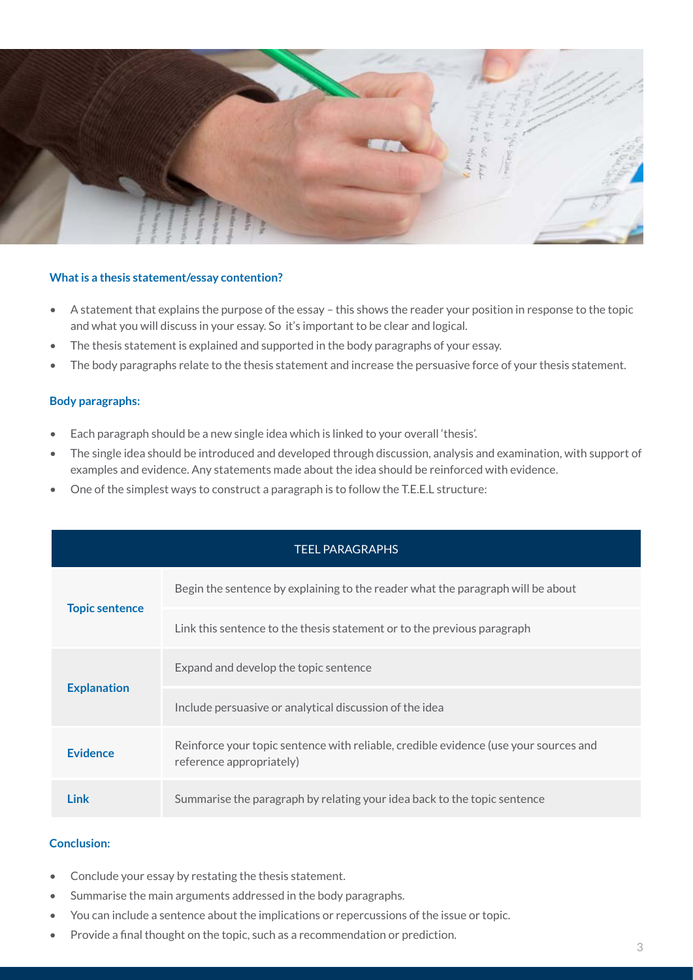

#### **What is a thesis statement/essay contention?**

- A statement that explains the purpose of the essay this shows the reader your position in response to the topic and what you will discuss in your essay. So it's important to be clear and logical.
- The thesis statement is explained and supported in the body paragraphs of your essay.
- The body paragraphs relate to the thesis statement and increase the persuasive force of your thesis statement.

#### **Body paragraphs:**

- Each paragraph should be a new single idea which is linked to your overall 'thesis'.
- The single idea should be introduced and developed through discussion, analysis and examination, with support of examples and evidence. Any statements made about the idea should be reinforced with evidence.
- One of the simplest ways to construct a paragraph is to follow the T.E.E.L structure:

| <b>TEEL PARAGRAPHS</b> |                                                                                                                  |  |
|------------------------|------------------------------------------------------------------------------------------------------------------|--|
| <b>Topic sentence</b>  | Begin the sentence by explaining to the reader what the paragraph will be about                                  |  |
|                        | Link this sentence to the thesis statement or to the previous paragraph                                          |  |
| <b>Explanation</b>     | Expand and develop the topic sentence                                                                            |  |
|                        | Include persuasive or analytical discussion of the idea                                                          |  |
| <b>Evidence</b>        | Reinforce your topic sentence with reliable, credible evidence (use your sources and<br>reference appropriately) |  |
| <b>Link</b>            | Summarise the paragraph by relating your idea back to the topic sentence                                         |  |

#### **Conclusion:**

- Conclude your essay by restating the thesis statement.
- Summarise the main arguments addressed in the body paragraphs.
- You can include a sentence about the implications or repercussions of the issue or topic.
- Provide a final thought on the topic, such as a recommendation or prediction.